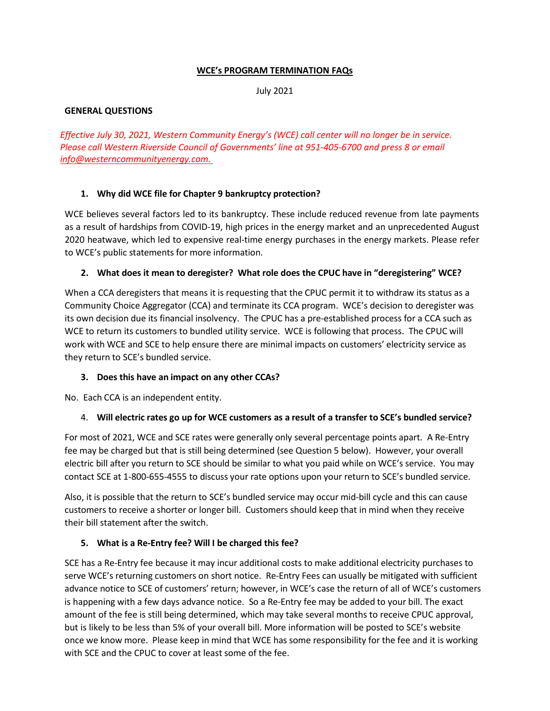#### **WCE's PROGRAM TERMINATION FAQs**

July 2021

#### **GENERAL QUESTIONS**

*Effective July 30, 2021, Western Community Energy's (WCE) call center will no longer be in service. Please call Western Riverside Council of Governments' line at 951-405-6700 and press 8 or email [info@westerncommunityenergy.com.](mailto:info@westerncommunityenergy.com)* 

## **1. Why did WCE file for Chapter 9 bankruptcy protection?**

WCE believes several factors led to its bankruptcy. These include reduced revenue from late payments as a result of hardships from COVID-19, high prices in the energy market and an unprecedented August 2020 heatwave, which led to expensive real-time energy purchases in the energy markets. Please refer to WCE's public statements for more information.

#### **2. What does it mean to deregister? What role does the CPUC have in "deregistering" WCE?**

When a CCA deregisters that means it is requesting that the CPUC permit it to withdraw its status as a Community Choice Aggregator (CCA) and terminate its CCA program. WCE's decision to deregister was its own decision due its financial insolvency. The CPUC has a pre-established process for a CCA such as WCE to return its customers to bundled utility service. WCE is following that process. The CPUC will work with WCE and SCE to help ensure there are minimal impacts on customers' electricity service as they return to SCE's bundled service.

## **3. Does this have an impact on any other CCAs?**

No. Each CCA is an independent entity.

## 4. **Will electric rates go up for WCE customers as a result of a transfer to SCE's bundled service?**

For most of 2021, WCE and SCE rates were generally only several percentage points apart. A Re-Entry fee may be charged but that is still being determined (see Question 5 below). However, your overall electric bill after you return to SCE should be similar to what you paid while on WCE's service. You may contact SCE at 1-800-655-4555 to discuss your rate options upon your return to SCE's bundled service.

Also, it is possible that the return to SCE's bundled service may occur mid-bill cycle and this can cause customers to receive a shorter or longer bill. Customers should keep that in mind when they receive their bill statement after the switch.

## **5. What is a Re-Entry fee? Will I be charged this fee?**

SCE has a Re-Entry fee because it may incur additional costs to make additional electricity purchases to serve WCE's returning customers on short notice. Re-Entry Fees can usually be mitigated with sufficient advance notice to SCE of customers' return; however, in WCE's case the return of all of WCE's customers is happening with a few days advance notice. So a Re-Entry fee may be added to your bill. The exact amount of the fee is still being determined, which may take several months to receive CPUC approval, but is likely to be less than 5% of your overall bill. More information will be posted to SCE's website once we know more. Please keep in mind that WCE has some responsibility for the fee and it is working with SCE and the CPUC to cover at least some of the fee.